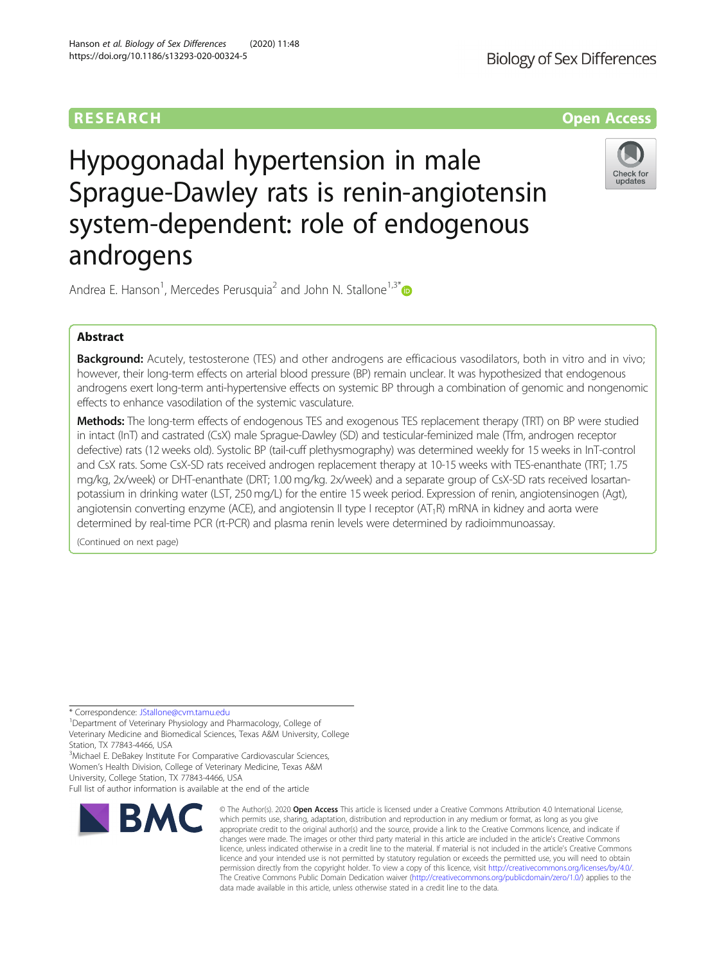

# Hypogonadal hypertension in male Sprague-Dawley rats is renin-angiotensin system-dependent: role of endogenous androgens



Andrea E. Hanson<sup>1</sup>, Mercedes Perusquia<sup>2</sup> and John N. Stallone<sup>1,3[\\*](http://orcid.org/0000-0002-2917-806X)</sup>

## Abstract

**Background:** Acutely, testosterone (TES) and other androgens are efficacious vasodilators, both in vitro and in vivo; however, their long-term effects on arterial blood pressure (BP) remain unclear. It was hypothesized that endogenous androgens exert long-term anti-hypertensive effects on systemic BP through a combination of genomic and nongenomic effects to enhance vasodilation of the systemic vasculature.

Methods: The long-term effects of endogenous TES and exogenous TES replacement therapy (TRT) on BP were studied in intact (InT) and castrated (CsX) male Sprague-Dawley (SD) and testicular-feminized male (Tfm, androgen receptor defective) rats (12 weeks old). Systolic BP (tail-cuff plethysmography) was determined weekly for 15 weeks in InT-control and CsX rats. Some CsX-SD rats received androgen replacement therapy at 10-15 weeks with TES-enanthate (TRT; 1.75 mg/kg, 2x/week) or DHT-enanthate (DRT; 1.00 mg/kg. 2x/week) and a separate group of CsX-SD rats received losartanpotassium in drinking water (LST, 250 mg/L) for the entire 15 week period. Expression of renin, angiotensinogen (Agt), angiotensin converting enzyme (ACE), and angiotensin II type I receptor ( $AT_1R$ ) mRNA in kidney and aorta were determined by real-time PCR (rt-PCR) and plasma renin levels were determined by radioimmunoassay.

(Continued on next page)

\* Correspondence: [JStallone@cvm.tamu.edu](mailto:JStallone@cvm.tamu.edu) <sup>1</sup>

Department of Veterinary Physiology and Pharmacology, College of Veterinary Medicine and Biomedical Sciences, Texas A&M University, College Station, TX 77843-4466, USA

<sup>3</sup>Michael E. DeBakey Institute For Comparative Cardiovascular Sciences, Women's Health Division, College of Veterinary Medicine, Texas A&M University, College Station, TX 77843-4466, USA

Full list of author information is available at the end of the article



<sup>©</sup> The Author(s), 2020 **Open Access** This article is licensed under a Creative Commons Attribution 4.0 International License, which permits use, sharing, adaptation, distribution and reproduction in any medium or format, as long as you give appropriate credit to the original author(s) and the source, provide a link to the Creative Commons licence, and indicate if changes were made. The images or other third party material in this article are included in the article's Creative Commons licence, unless indicated otherwise in a credit line to the material. If material is not included in the article's Creative Commons licence and your intended use is not permitted by statutory regulation or exceeds the permitted use, you will need to obtain permission directly from the copyright holder. To view a copy of this licence, visit [http://creativecommons.org/licenses/by/4.0/.](http://creativecommons.org/licenses/by/4.0/) The Creative Commons Public Domain Dedication waiver [\(http://creativecommons.org/publicdomain/zero/1.0/](http://creativecommons.org/publicdomain/zero/1.0/)) applies to the data made available in this article, unless otherwise stated in a credit line to the data.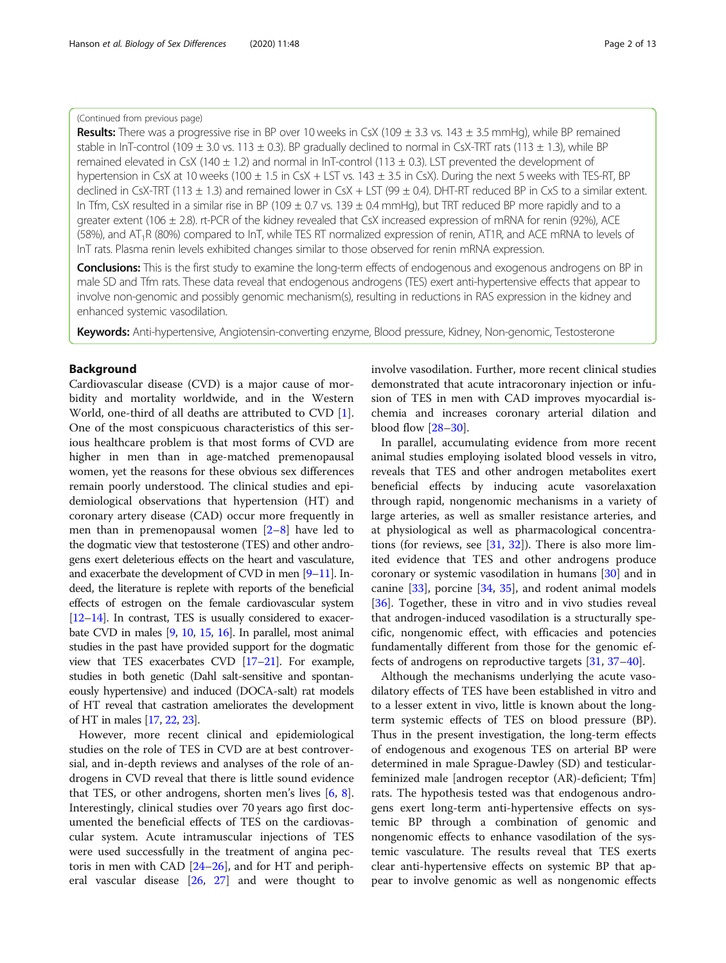## (Continued from previous page)

Results: There was a progressive rise in BP over 10 weeks in CsX (109  $\pm$  3.3 vs. 143  $\pm$  3.5 mmHg), while BP remained stable in InT-control (109  $\pm$  3.0 vs. 113  $\pm$  0.3). BP gradually declined to normal in CsX-TRT rats (113  $\pm$  1.3), while BP remained elevated in CsX (140  $\pm$  1.2) and normal in InT-control (113  $\pm$  0.3). LST prevented the development of hypertension in CsX at 10 weeks (100  $\pm$  1.5 in CsX + LST vs. 143  $\pm$  3.5 in CsX). During the next 5 weeks with TES-RT, BP declined in CsX-TRT (113  $\pm$  1.3) and remained lower in CsX + LST (99  $\pm$  0.4). DHT-RT reduced BP in CxS to a similar extent. In Tfm, CsX resulted in a similar rise in BP (109  $\pm$  0.7 vs. 139  $\pm$  0.4 mmHg), but TRT reduced BP more rapidly and to a greater extent (106  $\pm$  2.8). rt-PCR of the kidney revealed that CsX increased expression of mRNA for renin (92%), ACE (58%), and  $AT_1R$  (80%) compared to InT, while TES RT normalized expression of renin, AT1R, and ACE mRNA to levels of InT rats. Plasma renin levels exhibited changes similar to those observed for renin mRNA expression.

Conclusions: This is the first study to examine the long-term effects of endogenous and exogenous androgens on BP in male SD and Tfm rats. These data reveal that endogenous androgens (TES) exert anti-hypertensive effects that appear to involve non-genomic and possibly genomic mechanism(s), resulting in reductions in RAS expression in the kidney and enhanced systemic vasodilation.

Keywords: Anti-hypertensive, Angiotensin-converting enzyme, Blood pressure, Kidney, Non-genomic, Testosterone

## Background

Cardiovascular disease (CVD) is a major cause of morbidity and mortality worldwide, and in the Western World, one-third of all deaths are attributed to CVD [\[1](#page-11-0)]. One of the most conspicuous characteristics of this serious healthcare problem is that most forms of CVD are higher in men than in age-matched premenopausal women, yet the reasons for these obvious sex differences remain poorly understood. The clinical studies and epidemiological observations that hypertension (HT) and coronary artery disease (CAD) occur more frequently in men than in premenopausal women [[2](#page-11-0)–[8\]](#page-11-0) have led to the dogmatic view that testosterone (TES) and other androgens exert deleterious effects on the heart and vasculature, and exacerbate the development of CVD in men [\[9](#page-11-0)–[11](#page-11-0)]. Indeed, the literature is replete with reports of the beneficial effects of estrogen on the female cardiovascular system [[12](#page-11-0)–[14](#page-11-0)]. In contrast, TES is usually considered to exacerbate CVD in males [\[9,](#page-11-0) [10,](#page-11-0) [15](#page-11-0), [16\]](#page-11-0). In parallel, most animal studies in the past have provided support for the dogmatic view that TES exacerbates CVD [[17](#page-11-0)–[21](#page-11-0)]. For example, studies in both genetic (Dahl salt-sensitive and spontaneously hypertensive) and induced (DOCA-salt) rat models of HT reveal that castration ameliorates the development of HT in males [[17,](#page-11-0) [22](#page-11-0), [23](#page-11-0)].

However, more recent clinical and epidemiological studies on the role of TES in CVD are at best controversial, and in-depth reviews and analyses of the role of androgens in CVD reveal that there is little sound evidence that TES, or other androgens, shorten men's lives [[6,](#page-11-0) [8](#page-11-0)]. Interestingly, clinical studies over 70 years ago first documented the beneficial effects of TES on the cardiovascular system. Acute intramuscular injections of TES were used successfully in the treatment of angina pectoris in men with CAD [\[24](#page-11-0)–[26\]](#page-11-0), and for HT and peripheral vascular disease [[26,](#page-11-0) [27](#page-11-0)] and were thought to involve vasodilation. Further, more recent clinical studies demonstrated that acute intracoronary injection or infusion of TES in men with CAD improves myocardial ischemia and increases coronary arterial dilation and blood flow [\[28](#page-11-0)–[30\]](#page-11-0).

In parallel, accumulating evidence from more recent animal studies employing isolated blood vessels in vitro, reveals that TES and other androgen metabolites exert beneficial effects by inducing acute vasorelaxation through rapid, nongenomic mechanisms in a variety of large arteries, as well as smaller resistance arteries, and at physiological as well as pharmacological concentrations (for reviews, see [[31,](#page-11-0) [32](#page-11-0)]). There is also more limited evidence that TES and other androgens produce coronary or systemic vasodilation in humans [\[30\]](#page-11-0) and in canine [\[33\]](#page-11-0), porcine [\[34](#page-11-0), [35\]](#page-11-0), and rodent animal models [[36\]](#page-11-0). Together, these in vitro and in vivo studies reveal that androgen-induced vasodilation is a structurally specific, nongenomic effect, with efficacies and potencies fundamentally different from those for the genomic effects of androgens on reproductive targets [[31,](#page-11-0) [37](#page-11-0)–[40](#page-12-0)].

Although the mechanisms underlying the acute vasodilatory effects of TES have been established in vitro and to a lesser extent in vivo, little is known about the longterm systemic effects of TES on blood pressure (BP). Thus in the present investigation, the long-term effects of endogenous and exogenous TES on arterial BP were determined in male Sprague-Dawley (SD) and testicularfeminized male [androgen receptor (AR)-deficient; Tfm] rats. The hypothesis tested was that endogenous androgens exert long-term anti-hypertensive effects on systemic BP through a combination of genomic and nongenomic effects to enhance vasodilation of the systemic vasculature. The results reveal that TES exerts clear anti-hypertensive effects on systemic BP that appear to involve genomic as well as nongenomic effects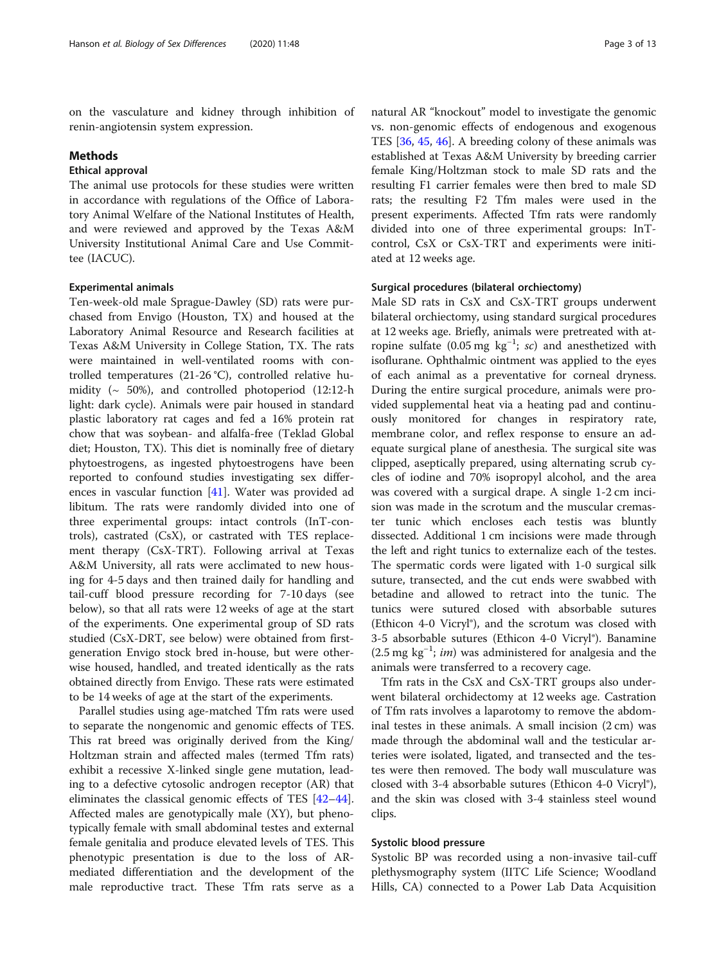on the vasculature and kidney through inhibition of renin-angiotensin system expression.

#### Methods

## Ethical approval

The animal use protocols for these studies were written in accordance with regulations of the Office of Laboratory Animal Welfare of the National Institutes of Health, and were reviewed and approved by the Texas A&M University Institutional Animal Care and Use Committee (IACUC).

### Experimental animals

Ten-week-old male Sprague-Dawley (SD) rats were purchased from Envigo (Houston, TX) and housed at the Laboratory Animal Resource and Research facilities at Texas A&M University in College Station, TX. The rats were maintained in well-ventilated rooms with controlled temperatures (21-26 °C), controlled relative humidity (~ 50%), and controlled photoperiod (12:12-h light: dark cycle). Animals were pair housed in standard plastic laboratory rat cages and fed a 16% protein rat chow that was soybean- and alfalfa-free (Teklad Global diet; Houston, TX). This diet is nominally free of dietary phytoestrogens, as ingested phytoestrogens have been reported to confound studies investigating sex differences in vascular function [\[41](#page-12-0)]. Water was provided ad libitum. The rats were randomly divided into one of three experimental groups: intact controls (InT-controls), castrated (CsX), or castrated with TES replacement therapy (CsX-TRT). Following arrival at Texas A&M University, all rats were acclimated to new housing for 4-5 days and then trained daily for handling and tail-cuff blood pressure recording for 7-10 days (see below), so that all rats were 12 weeks of age at the start of the experiments. One experimental group of SD rats studied (CsX-DRT, see below) were obtained from firstgeneration Envigo stock bred in-house, but were otherwise housed, handled, and treated identically as the rats obtained directly from Envigo. These rats were estimated to be 14 weeks of age at the start of the experiments.

Parallel studies using age-matched Tfm rats were used to separate the nongenomic and genomic effects of TES. This rat breed was originally derived from the King/ Holtzman strain and affected males (termed Tfm rats) exhibit a recessive X-linked single gene mutation, leading to a defective cytosolic androgen receptor (AR) that eliminates the classical genomic effects of TES [[42](#page-12-0)–[44](#page-12-0)]. Affected males are genotypically male (XY), but phenotypically female with small abdominal testes and external female genitalia and produce elevated levels of TES. This phenotypic presentation is due to the loss of ARmediated differentiation and the development of the male reproductive tract. These Tfm rats serve as a

natural AR "knockout" model to investigate the genomic vs. non-genomic effects of endogenous and exogenous TES [[36,](#page-11-0) [45,](#page-12-0) [46\]](#page-12-0). A breeding colony of these animals was established at Texas A&M University by breeding carrier female King/Holtzman stock to male SD rats and the resulting F1 carrier females were then bred to male SD rats; the resulting F2 Tfm males were used in the present experiments. Affected Tfm rats were randomly divided into one of three experimental groups: InTcontrol, CsX or CsX-TRT and experiments were initiated at 12 weeks age.

#### Surgical procedures (bilateral orchiectomy)

Male SD rats in CsX and CsX-TRT groups underwent bilateral orchiectomy, using standard surgical procedures at 12 weeks age. Briefly, animals were pretreated with atropine sulfate (0.05 mg  $kg^{-1}$ ; sc) and anesthetized with isoflurane. Ophthalmic ointment was applied to the eyes of each animal as a preventative for corneal dryness. During the entire surgical procedure, animals were provided supplemental heat via a heating pad and continuously monitored for changes in respiratory rate, membrane color, and reflex response to ensure an adequate surgical plane of anesthesia. The surgical site was clipped, aseptically prepared, using alternating scrub cycles of iodine and 70% isopropyl alcohol, and the area was covered with a surgical drape. A single 1-2 cm incision was made in the scrotum and the muscular cremaster tunic which encloses each testis was bluntly dissected. Additional 1 cm incisions were made through the left and right tunics to externalize each of the testes. The spermatic cords were ligated with 1-0 surgical silk suture, transected, and the cut ends were swabbed with betadine and allowed to retract into the tunic. The tunics were sutured closed with absorbable sutures (Ethicon 4-0 Vicryl®), and the scrotum was closed with 3-5 absorbable sutures (Ethicon 4-0 Vicryl®). Banamine (2.5 mg kg−<sup>1</sup> ; im) was administered for analgesia and the animals were transferred to a recovery cage.

Tfm rats in the CsX and CsX-TRT groups also underwent bilateral orchidectomy at 12 weeks age. Castration of Tfm rats involves a laparotomy to remove the abdominal testes in these animals. A small incision  $(2 \text{ cm})$  was made through the abdominal wall and the testicular arteries were isolated, ligated, and transected and the testes were then removed. The body wall musculature was closed with 3-4 absorbable sutures (Ethicon 4-0 Vicryl®), and the skin was closed with 3-4 stainless steel wound clips.

## Systolic blood pressure

Systolic BP was recorded using a non-invasive tail-cuff plethysmography system (IITC Life Science; Woodland Hills, CA) connected to a Power Lab Data Acquisition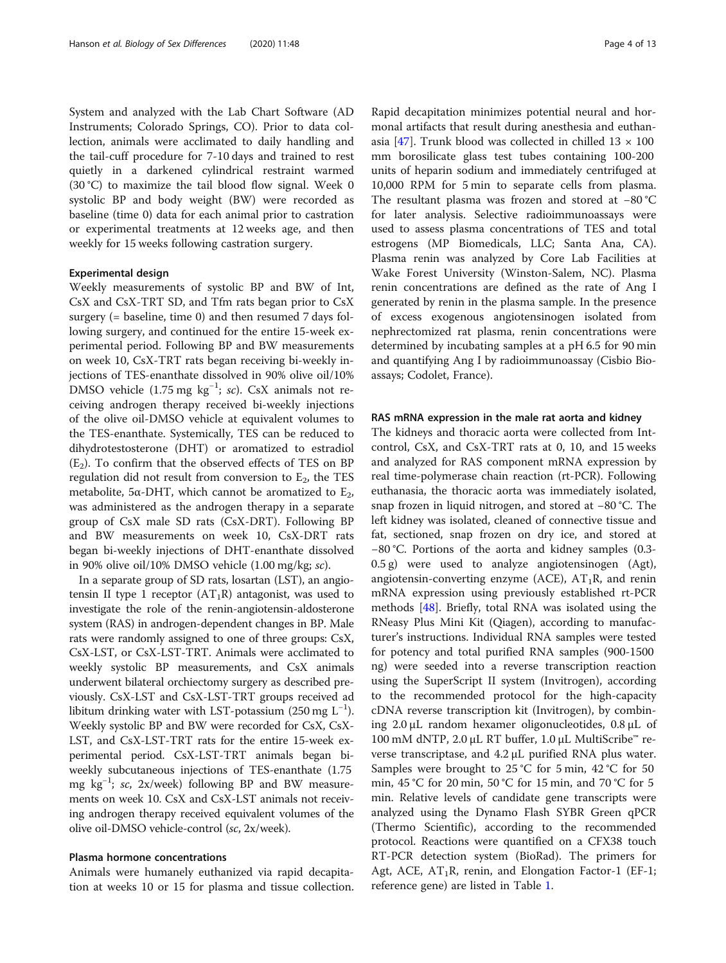System and analyzed with the Lab Chart Software (AD Instruments; Colorado Springs, CO). Prior to data collection, animals were acclimated to daily handling and the tail-cuff procedure for 7-10 days and trained to rest quietly in a darkened cylindrical restraint warmed (30 °C) to maximize the tail blood flow signal. Week 0 systolic BP and body weight (BW) were recorded as baseline (time 0) data for each animal prior to castration or experimental treatments at 12 weeks age, and then weekly for 15 weeks following castration surgery.

## Experimental design

Weekly measurements of systolic BP and BW of Int, CsX and CsX-TRT SD, and Tfm rats began prior to CsX surgery (= baseline, time 0) and then resumed 7 days following surgery, and continued for the entire 15-week experimental period. Following BP and BW measurements on week 10, CsX-TRT rats began receiving bi-weekly injections of TES-enanthate dissolved in 90% olive oil/10% DMSO vehicle  $(1.75 \text{ mg kg}^{-1}; sc)$ . CsX animals not receiving androgen therapy received bi-weekly injections of the olive oil-DMSO vehicle at equivalent volumes to the TES-enanthate. Systemically, TES can be reduced to dihydrotestosterone (DHT) or aromatized to estradiol  $(E_2)$ . To confirm that the observed effects of TES on BP regulation did not result from conversion to  $E<sub>2</sub>$ , the TES metabolite, 5 $\alpha$ -DHT, which cannot be aromatized to E<sub>2</sub>, was administered as the androgen therapy in a separate group of CsX male SD rats (CsX-DRT). Following BP and BW measurements on week 10, CsX-DRT rats began bi-weekly injections of DHT-enanthate dissolved in 90% olive oil/10% DMSO vehicle (1.00 mg/kg; sc).

In a separate group of SD rats, losartan (LST), an angiotensin II type 1 receptor  $(AT_1R)$  antagonist, was used to investigate the role of the renin-angiotensin-aldosterone system (RAS) in androgen-dependent changes in BP. Male rats were randomly assigned to one of three groups: CsX, CsX-LST, or CsX-LST-TRT. Animals were acclimated to weekly systolic BP measurements, and CsX animals underwent bilateral orchiectomy surgery as described previously. CsX-LST and CsX-LST-TRT groups received ad libitum drinking water with LST-potassium (250 mg L<sup>-1</sup>). Weekly systolic BP and BW were recorded for CsX, CsX-LST, and CsX-LST-TRT rats for the entire 15-week experimental period. CsX-LST-TRT animals began biweekly subcutaneous injections of TES-enanthate (1.75 mg kg<sup>-1</sup>; sc, 2x/week) following BP and BW measurements on week 10. CsX and CsX-LST animals not receiving androgen therapy received equivalent volumes of the olive oil-DMSO vehicle-control (sc, 2x/week).

## Plasma hormone concentrations

Animals were humanely euthanized via rapid decapitation at weeks 10 or 15 for plasma and tissue collection. Rapid decapitation minimizes potential neural and hormonal artifacts that result during anesthesia and euthan-asia [\[47](#page-12-0)]. Trunk blood was collected in chilled  $13 \times 100$ mm borosilicate glass test tubes containing 100-200 units of heparin sodium and immediately centrifuged at 10,000 RPM for 5 min to separate cells from plasma. The resultant plasma was frozen and stored at −80 °C for later analysis. Selective radioimmunoassays were used to assess plasma concentrations of TES and total estrogens (MP Biomedicals, LLC; Santa Ana, CA). Plasma renin was analyzed by Core Lab Facilities at Wake Forest University (Winston-Salem, NC). Plasma renin concentrations are defined as the rate of Ang I generated by renin in the plasma sample. In the presence of excess exogenous angiotensinogen isolated from nephrectomized rat plasma, renin concentrations were determined by incubating samples at a pH 6.5 for 90 min and quantifying Ang I by radioimmunoassay (Cisbio Bioassays; Codolet, France).

#### RAS mRNA expression in the male rat aorta and kidney

The kidneys and thoracic aorta were collected from Intcontrol, CsX, and CsX-TRT rats at 0, 10, and 15 weeks and analyzed for RAS component mRNA expression by real time-polymerase chain reaction (rt-PCR). Following euthanasia, the thoracic aorta was immediately isolated, snap frozen in liquid nitrogen, and stored at −80 °C. The left kidney was isolated, cleaned of connective tissue and fat, sectioned, snap frozen on dry ice, and stored at −80 °C. Portions of the aorta and kidney samples (0.3- 0.5 g) were used to analyze angiotensinogen (Agt), angiotensin-converting enzyme (ACE),  $AT_1R$ , and renin mRNA expression using previously established rt-PCR methods [\[48\]](#page-12-0). Briefly, total RNA was isolated using the RNeasy Plus Mini Kit (Qiagen), according to manufacturer's instructions. Individual RNA samples were tested for potency and total purified RNA samples (900-1500 ng) were seeded into a reverse transcription reaction using the SuperScript II system (Invitrogen), according to the recommended protocol for the high-capacity cDNA reverse transcription kit (Invitrogen), by combining 2.0 μL random hexamer oligonucleotides, 0.8 μL of 100 mM dNTP, 2.0 μL RT buffer, 1.0 μL MultiScribe™ reverse transcriptase, and 4.2 μL purified RNA plus water. Samples were brought to 25 °C for 5 min, 42 °C for 50 min, 45 °C for 20 min, 50 °C for 15 min, and 70 °C for 5 min. Relative levels of candidate gene transcripts were analyzed using the Dynamo Flash SYBR Green qPCR (Thermo Scientific), according to the recommended protocol. Reactions were quantified on a CFX38 touch RT-PCR detection system (BioRad). The primers for Agt, ACE,  $AT_1R$ , renin, and Elongation Factor-1 (EF-1; reference gene) are listed in Table [1](#page-4-0).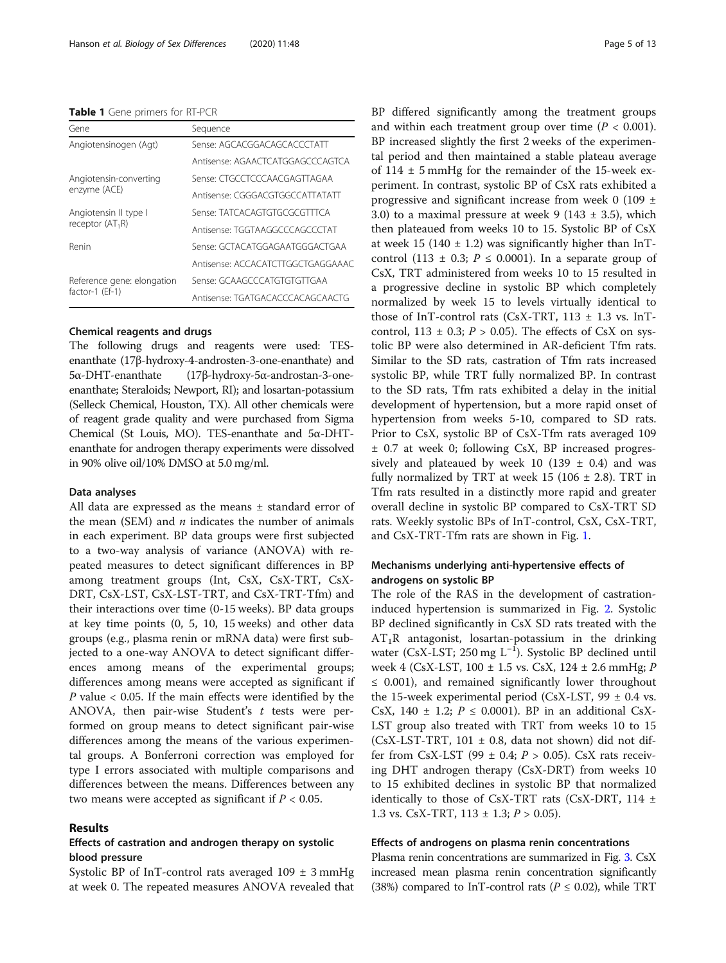#### <span id="page-4-0"></span>Table 1 Gene primers for RT-PCR

| Gene                       | Sequence                          |
|----------------------------|-----------------------------------|
| Angiotensinogen (Agt)      | Sense: AGCACGGACAGCACCCTATT       |
|                            | Antisense: AGAACTCATGGAGCCCAGTCA  |
| Angiotensin-converting     | Sense: CTGCCTCCCAACGAGTTAGAA      |
| enzyme (ACE)               | Antisense: CGGGACGTGGCCATTATATT   |
| Angiotensin II type I      | Sense: TATCACAGTGTGCGCGTTTCA      |
| receptor $(AT_1R)$         | Antisense: TGGTAAGGCCCAGCCCTAT    |
| Renin                      | Sense: GCTACATGGAGAATGGGACTGAA    |
|                            | Antisense: ACCACATCTTGGCTGAGGAAAC |
| Reference gene: elongation | Sense: GCAAGCCCATGTGTGTTGAA       |
| factor-1 (Ef-1)            | Antisense: TGATGACACCCACAGCAACTG  |

## Chemical reagents and drugs

The following drugs and reagents were used: TESenanthate (17β-hydroxy-4-androsten-3-one-enanthate) and 5α-DHT-enanthate (17β-hydroxy-5α-androstan-3-oneenanthate; Steraloids; Newport, RI); and losartan-potassium (Selleck Chemical, Houston, TX). All other chemicals were of reagent grade quality and were purchased from Sigma Chemical (St Louis, MO). TES-enanthate and 5α-DHTenanthate for androgen therapy experiments were dissolved in 90% olive oil/10% DMSO at 5.0 mg/ml.

#### Data analyses

All data are expressed as the means ± standard error of the mean (SEM) and  $n$  indicates the number of animals in each experiment. BP data groups were first subjected to a two-way analysis of variance (ANOVA) with repeated measures to detect significant differences in BP among treatment groups (Int, CsX, CsX-TRT, CsX-DRT, CsX-LST, CsX-LST-TRT, and CsX-TRT-Tfm) and their interactions over time (0-15 weeks). BP data groups at key time points (0, 5, 10, 15 weeks) and other data groups (e.g., plasma renin or mRNA data) were first subjected to a one-way ANOVA to detect significant differences among means of the experimental groups; differences among means were accepted as significant if  $P$  value < 0.05. If the main effects were identified by the ANOVA, then pair-wise Student's  $t$  tests were performed on group means to detect significant pair-wise differences among the means of the various experimental groups. A Bonferroni correction was employed for type I errors associated with multiple comparisons and differences between the means. Differences between any two means were accepted as significant if  $P < 0.05$ .

## Results

## Effects of castration and androgen therapy on systolic blood pressure

Systolic BP of InT-control rats averaged  $109 \pm 3$  mmHg at week 0. The repeated measures ANOVA revealed that BP differed significantly among the treatment groups and within each treatment group over time  $(P < 0.001)$ . BP increased slightly the first 2 weeks of the experimental period and then maintained a stable plateau average of 114 ± 5 mmHg for the remainder of the 15-week experiment. In contrast, systolic BP of CsX rats exhibited a progressive and significant increase from week 0 (109 ± 3.0) to a maximal pressure at week 9 (143  $\pm$  3.5), which then plateaued from weeks 10 to 15. Systolic BP of CsX at week 15 (140  $\pm$  1.2) was significantly higher than InTcontrol (113  $\pm$  0.3;  $P \le 0.0001$ ). In a separate group of CsX, TRT administered from weeks 10 to 15 resulted in a progressive decline in systolic BP which completely normalized by week 15 to levels virtually identical to those of InT-control rats (CsX-TRT,  $113 \pm 1.3$  vs. InTcontrol, 113  $\pm$  0.3; P > 0.05). The effects of CsX on systolic BP were also determined in AR-deficient Tfm rats. Similar to the SD rats, castration of Tfm rats increased systolic BP, while TRT fully normalized BP. In contrast to the SD rats, Tfm rats exhibited a delay in the initial development of hypertension, but a more rapid onset of hypertension from weeks 5-10, compared to SD rats. Prior to CsX, systolic BP of CsX-Tfm rats averaged 109 ± 0.7 at week 0; following CsX, BP increased progressively and plateaued by week 10 (139  $\pm$  0.4) and was fully normalized by TRT at week 15 (106  $\pm$  2.8). TRT in Tfm rats resulted in a distinctly more rapid and greater overall decline in systolic BP compared to CsX-TRT SD rats. Weekly systolic BPs of InT-control, CsX, CsX-TRT, and CsX-TRT-Tfm rats are shown in Fig. [1.](#page-5-0)

## Mechanisms underlying anti-hypertensive effects of androgens on systolic BP

The role of the RAS in the development of castrationinduced hypertension is summarized in Fig. [2.](#page-5-0) Systolic BP declined significantly in CsX SD rats treated with the  $AT_1R$  antagonist, losartan-potassium in the drinking water (CsX-LST; 250 mg L<sup>-1</sup>). Systolic BP declined until week 4 (CsX-LST, 100 ± 1.5 vs. CsX, 124 ± 2.6 mmHg; P ≤ 0.001), and remained significantly lower throughout the 15-week experimental period (CsX-LST, 99  $\pm$  0.4 vs. CsX, 140  $\pm$  1.2;  $P \le 0.0001$ ). BP in an additional CsX-LST group also treated with TRT from weeks 10 to 15  $(CsX-LST-TRT, 101 \pm 0.8, \text{ data not shown})$  did not differ from CsX-LST (99  $\pm$  0.4;  $P > 0.05$ ). CsX rats receiving DHT androgen therapy (CsX-DRT) from weeks 10 to 15 exhibited declines in systolic BP that normalized identically to those of CsX-TRT rats (CsX-DRT, 114  $\pm$ 1.3 vs. CsX-TRT,  $113 \pm 1.3$ ;  $P > 0.05$ ).

## Effects of androgens on plasma renin concentrations

Plasma renin concentrations are summarized in Fig. [3.](#page-6-0) CsX increased mean plasma renin concentration significantly (38%) compared to InT-control rats ( $P \le 0.02$ ), while TRT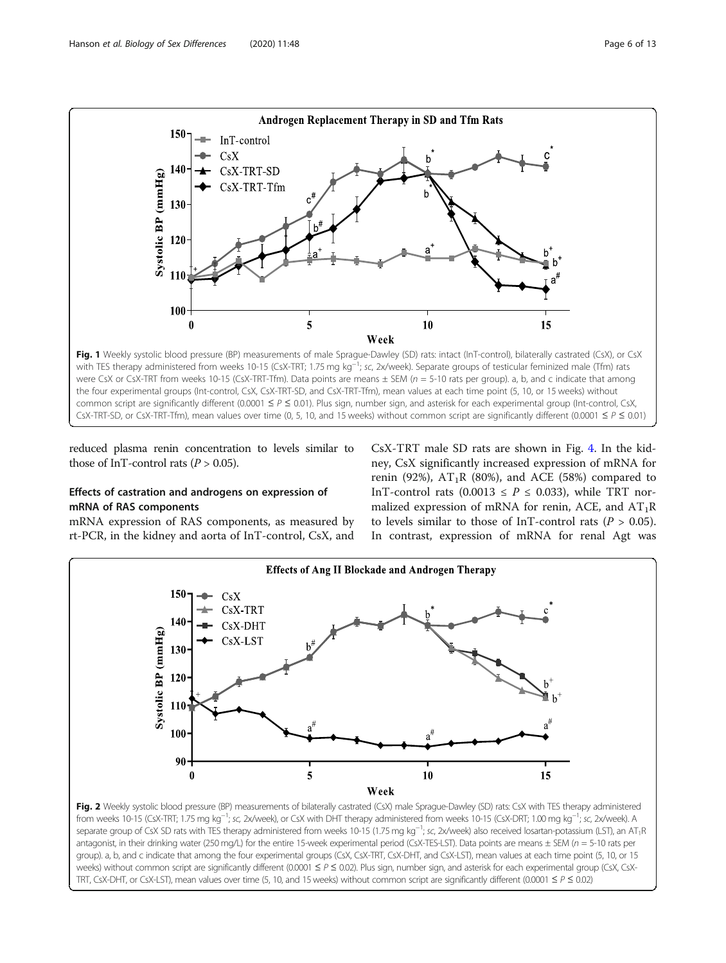<span id="page-5-0"></span>

reduced plasma renin concentration to levels similar to those of InT-control rats  $(P > 0.05)$ .

## Effects of castration and androgens on expression of mRNA of RAS components

mRNA expression of RAS components, as measured by rt-PCR, in the kidney and aorta of InT-control, CsX, and

CsX-TRT male SD rats are shown in Fig. [4](#page-7-0). In the kidney, CsX significantly increased expression of mRNA for renin (92%),  $AT_1R$  (80%), and ACE (58%) compared to InT-control rats (0.0013  $\leq$  P  $\leq$  0.033), while TRT normalized expression of mRNA for renin, ACE, and  $AT_1R$ to levels similar to those of InT-control rats ( $P > 0.05$ ). In contrast, expression of mRNA for renal Agt was



separate group of CsX SD rats with TES therapy administered from weeks 10-15 (1.75 mg kg<sup>-1</sup>; sc, 2x/week) also received losartan-potassium (LST), an AT<sub>1</sub>R antagonist, in their drinking water (250 mg/L) for the entire 15-week experimental period (CsX-TES-LST). Data points are means  $\pm$  SEM ( $n = 5$ -10 rats per group). a, b, and c indicate that among the four experimental groups (CsX, CsX-TRT, CsX-DHT, and CsX-LST), mean values at each time point (5, 10, or 15 weeks) without common script are significantly different (0.0001 ≤ P ≤ 0.02). Plus sign, number sign, and asterisk for each experimental group (CsX, CsX-TRT, CsX-DHT, or CsX-LST), mean values over time (5, 10, and 15 weeks) without common script are significantly different (0.0001  $\leq P \leq 0.02$ )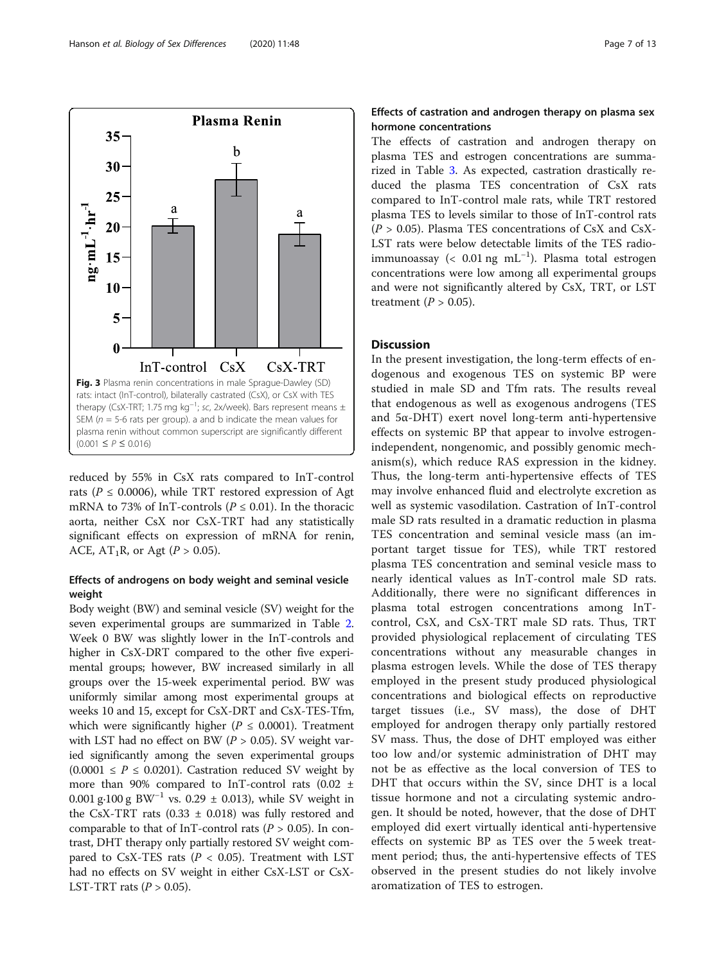<span id="page-6-0"></span>

reduced by 55% in CsX rats compared to InT-control rats ( $P \le 0.0006$ ), while TRT restored expression of Agt mRNA to 73% of InT-controls ( $P \le 0.01$ ). In the thoracic aorta, neither CsX nor CsX-TRT had any statistically significant effects on expression of mRNA for renin, ACE,  $AT_1R$ , or Agt ( $P > 0.05$ ).

## Effects of androgens on body weight and seminal vesicle weight

Body weight (BW) and seminal vesicle (SV) weight for the seven experimental groups are summarized in Table [2](#page-7-0). Week 0 BW was slightly lower in the InT-controls and higher in CsX-DRT compared to the other five experimental groups; however, BW increased similarly in all groups over the 15-week experimental period. BW was uniformly similar among most experimental groups at weeks 10 and 15, except for CsX-DRT and CsX-TES-Tfm, which were significantly higher ( $P \le 0.0001$ ). Treatment with LST had no effect on BW ( $P > 0.05$ ). SV weight varied significantly among the seven experimental groups  $(0.0001 \le P \le 0.0201)$ . Castration reduced SV weight by more than 90% compared to InT-control rats (0.02 ± 0.001 g·100 g BW<sup>-1</sup> vs. 0.29 ± 0.013), while SV weight in the CsX-TRT rats  $(0.33 \pm 0.018)$  was fully restored and comparable to that of InT-control rats ( $P > 0.05$ ). In contrast, DHT therapy only partially restored SV weight compared to CsX-TES rats ( $P < 0.05$ ). Treatment with LST had no effects on SV weight in either CsX-LST or CsX-LST-TRT rats  $(P > 0.05)$ .

## Effects of castration and androgen therapy on plasma sex hormone concentrations

The effects of castration and androgen therapy on plasma TES and estrogen concentrations are summarized in Table [3](#page-8-0). As expected, castration drastically reduced the plasma TES concentration of CsX rats compared to InT-control male rats, while TRT restored plasma TES to levels similar to those of InT-control rats  $(P > 0.05)$ . Plasma TES concentrations of CsX and CsX-LST rats were below detectable limits of the TES radioimmunoassay (< 0.01 ng mL−<sup>1</sup> ). Plasma total estrogen concentrations were low among all experimental groups and were not significantly altered by CsX, TRT, or LST treatment ( $P > 0.05$ ).

## Discussion

In the present investigation, the long-term effects of endogenous and exogenous TES on systemic BP were studied in male SD and Tfm rats. The results reveal that endogenous as well as exogenous androgens (TES and 5α-DHT) exert novel long-term anti-hypertensive effects on systemic BP that appear to involve estrogenindependent, nongenomic, and possibly genomic mechanism(s), which reduce RAS expression in the kidney. Thus, the long-term anti-hypertensive effects of TES may involve enhanced fluid and electrolyte excretion as well as systemic vasodilation. Castration of InT-control male SD rats resulted in a dramatic reduction in plasma TES concentration and seminal vesicle mass (an important target tissue for TES), while TRT restored plasma TES concentration and seminal vesicle mass to nearly identical values as InT-control male SD rats. Additionally, there were no significant differences in plasma total estrogen concentrations among InTcontrol, CsX, and CsX-TRT male SD rats. Thus, TRT provided physiological replacement of circulating TES concentrations without any measurable changes in plasma estrogen levels. While the dose of TES therapy employed in the present study produced physiological concentrations and biological effects on reproductive target tissues (i.e., SV mass), the dose of DHT employed for androgen therapy only partially restored SV mass. Thus, the dose of DHT employed was either too low and/or systemic administration of DHT may not be as effective as the local conversion of TES to DHT that occurs within the SV, since DHT is a local tissue hormone and not a circulating systemic androgen. It should be noted, however, that the dose of DHT employed did exert virtually identical anti-hypertensive effects on systemic BP as TES over the 5 week treatment period; thus, the anti-hypertensive effects of TES observed in the present studies do not likely involve aromatization of TES to estrogen.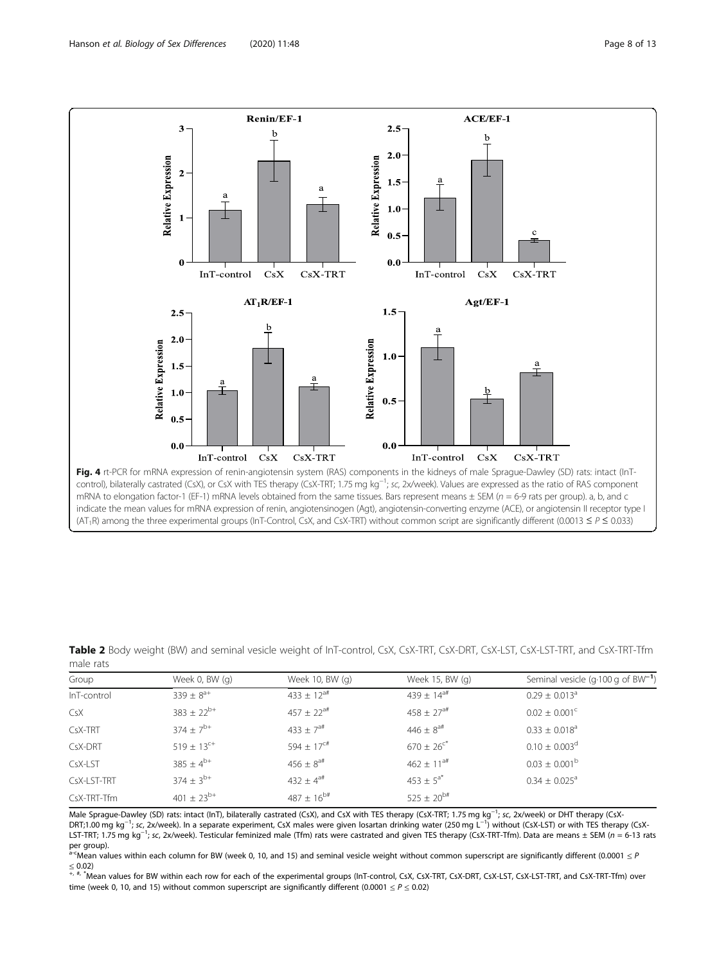<span id="page-7-0"></span>

| Group       | Week 0, BW (q)             | Week 10, BW (g)            | Week 15, BW (q)            | Seminal vesicle (q $\cdot$ 100 g of BW <sup>-1</sup> ) |
|-------------|----------------------------|----------------------------|----------------------------|--------------------------------------------------------|
| InT-control | $339 \pm 8^{a+}$           | $433 \pm 12^{a}$           | 439 ± $14^{a#}$            | $0.29 \pm 0.013$ <sup>a</sup>                          |
| CsX         | $383 \pm 22^{b+}$          | $457 \pm 22^{at}$          | $458 \pm 27$ <sup>a#</sup> | $0.02 \pm 0.001$ <sup>c</sup>                          |
| CsX-TRT     | $374 \pm 7^{b+}$           | 433 $\pm$ 7 <sup>a#</sup>  | $446 \pm 8^{4}$            | $0.33 \pm 0.018$ <sup>a</sup>                          |
| CsX-DRT     | $519 \pm 13$ <sup>c+</sup> | 594 $\pm$ 17 <sup>c#</sup> | $670 \pm 26$ <sup>c*</sup> | $0.10 \pm 0.003$ <sup>d</sup>                          |
| CsX-LST     | $385 \pm 4^{b+}$           | $456 \pm 8^{at}$           | $462 \pm 11^{at}$          | $0.03 \pm 0.001^{\rm b}$                               |
| CsX-LST-TRT | $374 \pm 3^{b+}$           | 432 ± $4^{a#}$             | $453 \pm 5^{a*}$           | $0.34 \pm 0.025^{\circ}$                               |
| CsX-TRT-Tfm | 401 $\pm$ 23 <sup>b+</sup> | $487 \pm 16^{b#}$          | $525 \pm 20^{b#}$          |                                                        |

Table 2 Body weight (BW) and seminal vesicle weight of InT-control, CsX, CsX-TRT, CsX-DRT, CsX-LST, CsX-LST-TRT, and CsX-TRT-Tfm male rats

Male Sprague-Dawley (SD) rats: intact (InT), bilaterally castrated (CsX), and CsX with TES therapy (CsX-TRT; 1.75 mg kg<sup>-1</sup>; sc, 2x/week) or DHT therapy (CsX-<br>DPT-1.00 mg kg<sup>-1</sup>: sc, 2x/week). In a separate experiment, Cs DRT;1.00 mg kg<sup>-1</sup>; sc, 2x/week). In a separate experiment, CsX males were given losartan drinking water (250 mg L<sup>−1</sup>) without (CsX-LST) or with TES therapy (CsX-<br>I ST-TBT: 1.75 mg kg<sup>-1,</sup> sc, 2x/week). Testicular femin LST-TRT; 1.75 mg kg<sup>−1</sup>; sc, 2x/week). Testicular feminized male (Tfm) rats were castrated and given TES therapy (CsX-TRT-Tfm). Data are means ± SEM (n = 6-13 rats<br>Der group) per group).

a-cMean values within each column for BW (week 0, 10, and 15) and seminal vesicle weight without common superscript are significantly different (0.0001 ≤ P

≤ 0.02)<br>+, #, \*Mean values for BW within each row for each of the experimental groups (InT-control, CsX, CsX-TRT, CsX-DRT, CsX-LST, CsX-LST-TRT, and CsX-TRT-Tfm) over time (week 0, 10, and 15) without common superscript are significantly different (0.0001  $\leq$  P  $\leq$  0.02)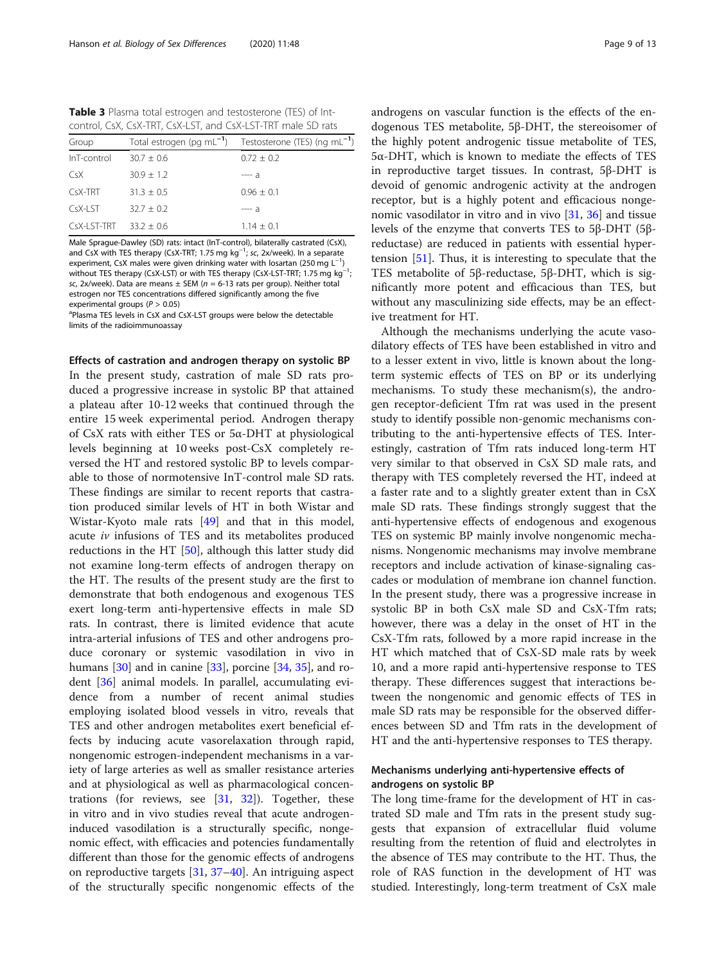<span id="page-8-0"></span>Table 3 Plasma total estrogen and testosterone (TES) of Intcontrol, CsX, CsX-TRT, CsX-LST, and CsX-LST-TRT male SD rats

| Group                     |              | Total estrogen (pg mL <sup>-1</sup> ) Testosterone (TES) (ng mL <sup>-1</sup> ) |
|---------------------------|--------------|---------------------------------------------------------------------------------|
| InT-control               | $30.7 + 0.6$ | $0.72 + 0.2$                                                                    |
| CsX                       | $30.9 + 1.2$ | $--- a$                                                                         |
| CsX-TRT                   | $31.3 + 0.5$ | $0.96 + 0.1$                                                                    |
| $CSX-IST$                 | $32.7 + 0.2$ | $--- a$                                                                         |
| $CsX-I ST-TRT$ 33.2 + 0.6 |              | $1.14 + 0.1$                                                                    |

Male Sprague-Dawley (SD) rats: intact (InT-control), bilaterally castrated (CsX), and CsX with TES therapy (CsX-TRT; 1.75 mg kg<sup>-1</sup>; sc, 2x/week). In a separate<br>experiment, CsX males were given drinking water with losartan (250 mg 1<sup>-1</sup>) experiment, CsX males were given drinking water with losartan (250 mg  $\mathsf{L}^{-1}$ ) without TES therapy (CsX-LST) or with TES therapy (CsX-LST-TRT; 1.75 mg kg<sup>-1</sup>; ; sc, 2x/week). Data are means  $\pm$  SEM ( $n = 6$ -13 rats per group). Neither total estrogen nor TES concentrations differed significantly among the five experimental groups ( $P > 0.05$ )

<sup>a</sup>Plasma TES levels in CsX and CsX-LST groups were below the detectable limits of the radioimmunoassay

Effects of castration and androgen therapy on systolic BP In the present study, castration of male SD rats produced a progressive increase in systolic BP that attained a plateau after 10-12 weeks that continued through the entire 15 week experimental period. Androgen therapy of CsX rats with either TES or 5α-DHT at physiological levels beginning at 10 weeks post-CsX completely reversed the HT and restored systolic BP to levels comparable to those of normotensive InT-control male SD rats. These findings are similar to recent reports that castration produced similar levels of HT in both Wistar and Wistar-Kyoto male rats [\[49\]](#page-12-0) and that in this model, acute iv infusions of TES and its metabolites produced reductions in the HT [\[50](#page-12-0)], although this latter study did not examine long-term effects of androgen therapy on the HT. The results of the present study are the first to demonstrate that both endogenous and exogenous TES exert long-term anti-hypertensive effects in male SD rats. In contrast, there is limited evidence that acute intra-arterial infusions of TES and other androgens produce coronary or systemic vasodilation in vivo in humans  $[30]$  and in canine  $[33]$  $[33]$  $[33]$ , porcine  $[34, 35]$  $[34, 35]$  $[34, 35]$  $[34, 35]$ , and rodent [\[36](#page-11-0)] animal models. In parallel, accumulating evidence from a number of recent animal studies employing isolated blood vessels in vitro, reveals that TES and other androgen metabolites exert beneficial effects by inducing acute vasorelaxation through rapid, nongenomic estrogen-independent mechanisms in a variety of large arteries as well as smaller resistance arteries and at physiological as well as pharmacological concentrations (for reviews, see [[31,](#page-11-0) [32\]](#page-11-0)). Together, these in vitro and in vivo studies reveal that acute androgeninduced vasodilation is a structurally specific, nongenomic effect, with efficacies and potencies fundamentally different than those for the genomic effects of androgens on reproductive targets [\[31,](#page-11-0) [37](#page-11-0)–[40\]](#page-12-0). An intriguing aspect of the structurally specific nongenomic effects of the androgens on vascular function is the effects of the endogenous TES metabolite, 5β-DHT, the stereoisomer of the highly potent androgenic tissue metabolite of TES, 5α-DHT, which is known to mediate the effects of TES in reproductive target tissues. In contrast, 5β-DHT is devoid of genomic androgenic activity at the androgen receptor, but is a highly potent and efficacious nongenomic vasodilator in vitro and in vivo [\[31](#page-11-0), [36](#page-11-0)] and tissue levels of the enzyme that converts TES to 5β-DHT (5βreductase) are reduced in patients with essential hypertension [\[51](#page-12-0)]. Thus, it is interesting to speculate that the TES metabolite of 5β-reductase, 5β-DHT, which is significantly more potent and efficacious than TES, but without any masculinizing side effects, may be an effective treatment for HT.

Although the mechanisms underlying the acute vasodilatory effects of TES have been established in vitro and to a lesser extent in vivo, little is known about the longterm systemic effects of TES on BP or its underlying mechanisms. To study these mechanism(s), the androgen receptor-deficient Tfm rat was used in the present study to identify possible non-genomic mechanisms contributing to the anti-hypertensive effects of TES. Interestingly, castration of Tfm rats induced long-term HT very similar to that observed in CsX SD male rats, and therapy with TES completely reversed the HT, indeed at a faster rate and to a slightly greater extent than in CsX male SD rats. These findings strongly suggest that the anti-hypertensive effects of endogenous and exogenous TES on systemic BP mainly involve nongenomic mechanisms. Nongenomic mechanisms may involve membrane receptors and include activation of kinase-signaling cascades or modulation of membrane ion channel function. In the present study, there was a progressive increase in systolic BP in both CsX male SD and CsX-Tfm rats; however, there was a delay in the onset of HT in the CsX-Tfm rats, followed by a more rapid increase in the HT which matched that of CsX-SD male rats by week 10, and a more rapid anti-hypertensive response to TES therapy. These differences suggest that interactions between the nongenomic and genomic effects of TES in male SD rats may be responsible for the observed differences between SD and Tfm rats in the development of HT and the anti-hypertensive responses to TES therapy.

## Mechanisms underlying anti-hypertensive effects of androgens on systolic BP

The long time-frame for the development of HT in castrated SD male and Tfm rats in the present study suggests that expansion of extracellular fluid volume resulting from the retention of fluid and electrolytes in the absence of TES may contribute to the HT. Thus, the role of RAS function in the development of HT was studied. Interestingly, long-term treatment of CsX male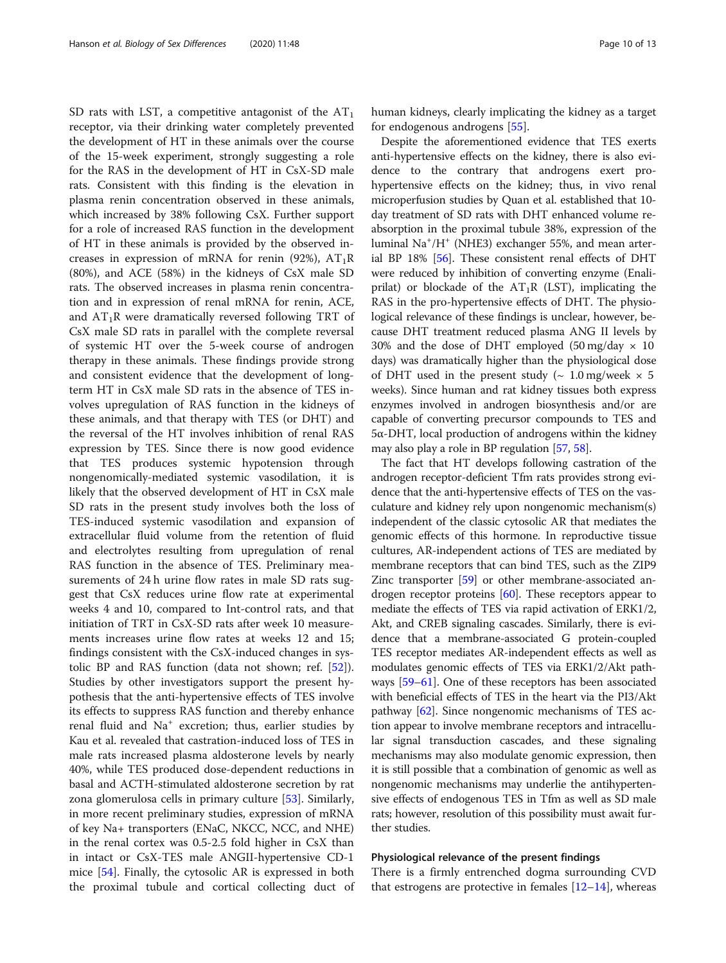SD rats with LST, a competitive antagonist of the  $AT_1$ receptor, via their drinking water completely prevented the development of HT in these animals over the course of the 15-week experiment, strongly suggesting a role for the RAS in the development of HT in CsX-SD male rats. Consistent with this finding is the elevation in plasma renin concentration observed in these animals, which increased by 38% following CsX. Further support for a role of increased RAS function in the development of HT in these animals is provided by the observed increases in expression of mRNA for renin (92%),  $AT_1R$ (80%), and ACE (58%) in the kidneys of CsX male SD rats. The observed increases in plasma renin concentration and in expression of renal mRNA for renin, ACE, and  $AT_1R$  were dramatically reversed following TRT of CsX male SD rats in parallel with the complete reversal of systemic HT over the 5-week course of androgen therapy in these animals. These findings provide strong and consistent evidence that the development of longterm HT in CsX male SD rats in the absence of TES involves upregulation of RAS function in the kidneys of these animals, and that therapy with TES (or DHT) and the reversal of the HT involves inhibition of renal RAS expression by TES. Since there is now good evidence that TES produces systemic hypotension through nongenomically-mediated systemic vasodilation, it is likely that the observed development of HT in CsX male SD rats in the present study involves both the loss of TES-induced systemic vasodilation and expansion of extracellular fluid volume from the retention of fluid and electrolytes resulting from upregulation of renal RAS function in the absence of TES. Preliminary measurements of 24 h urine flow rates in male SD rats suggest that CsX reduces urine flow rate at experimental weeks 4 and 10, compared to Int-control rats, and that initiation of TRT in CsX-SD rats after week 10 measurements increases urine flow rates at weeks 12 and 15; findings consistent with the CsX-induced changes in systolic BP and RAS function (data not shown; ref. [\[52](#page-12-0)]). Studies by other investigators support the present hypothesis that the anti-hypertensive effects of TES involve its effects to suppress RAS function and thereby enhance renal fluid and Na<sup>+</sup> excretion; thus, earlier studies by Kau et al. revealed that castration-induced loss of TES in male rats increased plasma aldosterone levels by nearly 40%, while TES produced dose-dependent reductions in basal and ACTH-stimulated aldosterone secretion by rat zona glomerulosa cells in primary culture [\[53](#page-12-0)]. Similarly, in more recent preliminary studies, expression of mRNA of key Na+ transporters (ENaC, NKCC, NCC, and NHE) in the renal cortex was 0.5-2.5 fold higher in CsX than in intact or CsX-TES male ANGII-hypertensive CD-1 mice [\[54\]](#page-12-0). Finally, the cytosolic AR is expressed in both the proximal tubule and cortical collecting duct of human kidneys, clearly implicating the kidney as a target for endogenous androgens [\[55](#page-12-0)].

Despite the aforementioned evidence that TES exerts anti-hypertensive effects on the kidney, there is also evidence to the contrary that androgens exert prohypertensive effects on the kidney; thus, in vivo renal microperfusion studies by Quan et al. established that 10 day treatment of SD rats with DHT enhanced volume reabsorption in the proximal tubule 38%, expression of the luminal Na<sup>+</sup>/H<sup>+</sup> (NHE3) exchanger 55%, and mean arterial BP 18% [\[56\]](#page-12-0). These consistent renal effects of DHT were reduced by inhibition of converting enzyme (Enaliprilat) or blockade of the  $AT_1R$  (LST), implicating the RAS in the pro-hypertensive effects of DHT. The physiological relevance of these findings is unclear, however, because DHT treatment reduced plasma ANG II levels by 30% and the dose of DHT employed (50 mg/day  $\times$  10 days) was dramatically higher than the physiological dose of DHT used in the present study ( $\sim 1.0$  mg/week  $\times 5$ weeks). Since human and rat kidney tissues both express enzymes involved in androgen biosynthesis and/or are capable of converting precursor compounds to TES and 5α-DHT, local production of androgens within the kidney may also play a role in BP regulation [\[57](#page-12-0), [58](#page-12-0)].

The fact that HT develops following castration of the androgen receptor-deficient Tfm rats provides strong evidence that the anti-hypertensive effects of TES on the vasculature and kidney rely upon nongenomic mechanism(s) independent of the classic cytosolic AR that mediates the genomic effects of this hormone. In reproductive tissue cultures, AR-independent actions of TES are mediated by membrane receptors that can bind TES, such as the ZIP9 Zinc transporter [\[59\]](#page-12-0) or other membrane-associated androgen receptor proteins [[60\]](#page-12-0). These receptors appear to mediate the effects of TES via rapid activation of ERK1/2, Akt, and CREB signaling cascades. Similarly, there is evidence that a membrane-associated G protein-coupled TES receptor mediates AR-independent effects as well as modulates genomic effects of TES via ERK1/2/Akt pathways [\[59](#page-12-0)–[61](#page-12-0)]. One of these receptors has been associated with beneficial effects of TES in the heart via the PI3/Akt pathway [[62](#page-12-0)]. Since nongenomic mechanisms of TES action appear to involve membrane receptors and intracellular signal transduction cascades, and these signaling mechanisms may also modulate genomic expression, then it is still possible that a combination of genomic as well as nongenomic mechanisms may underlie the antihypertensive effects of endogenous TES in Tfm as well as SD male rats; however, resolution of this possibility must await further studies.

## Physiological relevance of the present findings

There is a firmly entrenched dogma surrounding CVD that estrogens are protective in females  $[12-14]$  $[12-14]$  $[12-14]$  $[12-14]$  $[12-14]$ , whereas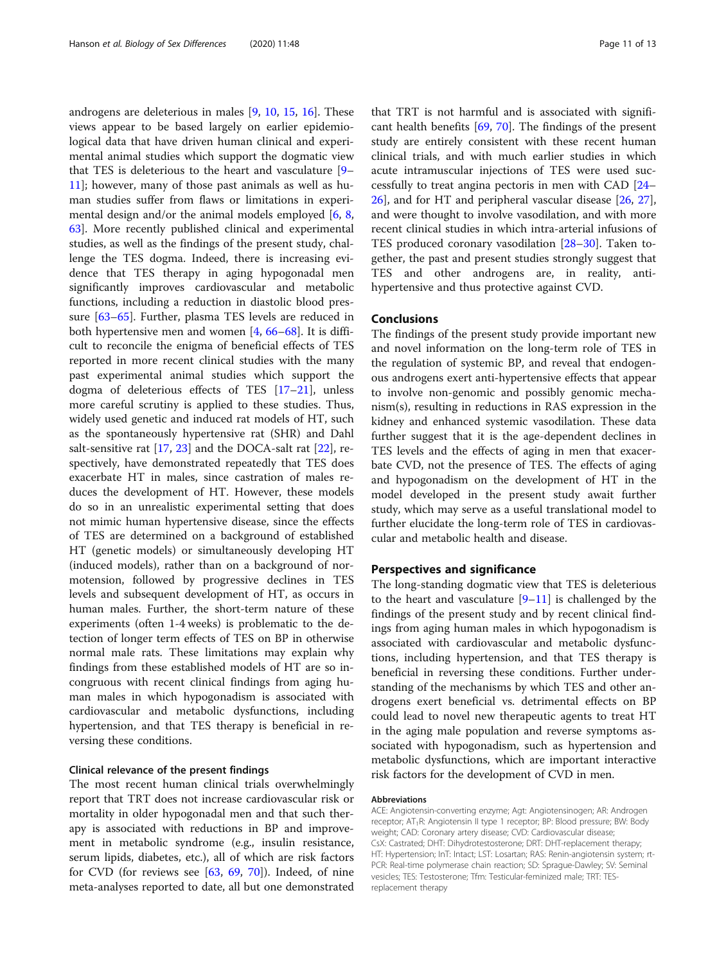androgens are deleterious in males [[9,](#page-11-0) [10,](#page-11-0) [15](#page-11-0), [16](#page-11-0)]. These views appear to be based largely on earlier epidemiological data that have driven human clinical and experimental animal studies which support the dogmatic view that TES is deleterious to the heart and vasculature [[9](#page-11-0)– [11\]](#page-11-0); however, many of those past animals as well as human studies suffer from flaws or limitations in experimental design and/or the animal models employed  $[6, 8, 8]$  $[6, 8, 8]$  $[6, 8, 8]$  $[6, 8, 8]$ [63\]](#page-12-0). More recently published clinical and experimental studies, as well as the findings of the present study, challenge the TES dogma. Indeed, there is increasing evidence that TES therapy in aging hypogonadal men significantly improves cardiovascular and metabolic functions, including a reduction in diastolic blood pressure [[63](#page-12-0)–[65](#page-12-0)]. Further, plasma TES levels are reduced in both hypertensive men and women [[4,](#page-11-0) [66](#page-12-0)–[68\]](#page-12-0). It is difficult to reconcile the enigma of beneficial effects of TES reported in more recent clinical studies with the many past experimental animal studies which support the dogma of deleterious effects of TES [\[17](#page-11-0)–[21\]](#page-11-0), unless more careful scrutiny is applied to these studies. Thus, widely used genetic and induced rat models of HT, such as the spontaneously hypertensive rat (SHR) and Dahl salt-sensitive rat  $[17, 23]$  $[17, 23]$  $[17, 23]$  $[17, 23]$  and the DOCA-salt rat  $[22]$  $[22]$ , respectively, have demonstrated repeatedly that TES does exacerbate HT in males, since castration of males reduces the development of HT. However, these models do so in an unrealistic experimental setting that does not mimic human hypertensive disease, since the effects of TES are determined on a background of established HT (genetic models) or simultaneously developing HT (induced models), rather than on a background of normotension, followed by progressive declines in TES levels and subsequent development of HT, as occurs in human males. Further, the short-term nature of these experiments (often 1-4 weeks) is problematic to the detection of longer term effects of TES on BP in otherwise normal male rats. These limitations may explain why findings from these established models of HT are so incongruous with recent clinical findings from aging human males in which hypogonadism is associated with cardiovascular and metabolic dysfunctions, including hypertension, and that TES therapy is beneficial in reversing these conditions.

## Clinical relevance of the present findings

The most recent human clinical trials overwhelmingly report that TRT does not increase cardiovascular risk or mortality in older hypogonadal men and that such therapy is associated with reductions in BP and improvement in metabolic syndrome (e.g., insulin resistance, serum lipids, diabetes, etc.), all of which are risk factors for CVD (for reviews see [\[63,](#page-12-0) [69](#page-12-0), [70](#page-12-0)]). Indeed, of nine meta-analyses reported to date, all but one demonstrated

that TRT is not harmful and is associated with significant health benefits [\[69,](#page-12-0) [70](#page-12-0)]. The findings of the present study are entirely consistent with these recent human clinical trials, and with much earlier studies in which acute intramuscular injections of TES were used successfully to treat angina pectoris in men with CAD [[24](#page-11-0)– [26\]](#page-11-0), and for HT and peripheral vascular disease [\[26](#page-11-0), [27](#page-11-0)], and were thought to involve vasodilation, and with more recent clinical studies in which intra-arterial infusions of TES produced coronary vasodilation [[28](#page-11-0)–[30\]](#page-11-0). Taken together, the past and present studies strongly suggest that TES and other androgens are, in reality, antihypertensive and thus protective against CVD.

## Conclusions

The findings of the present study provide important new and novel information on the long-term role of TES in the regulation of systemic BP, and reveal that endogenous androgens exert anti-hypertensive effects that appear to involve non-genomic and possibly genomic mechanism(s), resulting in reductions in RAS expression in the kidney and enhanced systemic vasodilation. These data further suggest that it is the age-dependent declines in TES levels and the effects of aging in men that exacerbate CVD, not the presence of TES. The effects of aging and hypogonadism on the development of HT in the model developed in the present study await further study, which may serve as a useful translational model to further elucidate the long-term role of TES in cardiovascular and metabolic health and disease.

## Perspectives and significance

The long-standing dogmatic view that TES is deleterious to the heart and vasculature  $[9-11]$  $[9-11]$  $[9-11]$  $[9-11]$  $[9-11]$  is challenged by the findings of the present study and by recent clinical findings from aging human males in which hypogonadism is associated with cardiovascular and metabolic dysfunctions, including hypertension, and that TES therapy is beneficial in reversing these conditions. Further understanding of the mechanisms by which TES and other androgens exert beneficial vs. detrimental effects on BP could lead to novel new therapeutic agents to treat HT in the aging male population and reverse symptoms associated with hypogonadism, such as hypertension and metabolic dysfunctions, which are important interactive risk factors for the development of CVD in men.

#### Abbreviations

ACE: Angiotensin-converting enzyme; Agt: Angiotensinogen; AR: Androgen receptor; AT<sub>1</sub>R: Angiotensin II type 1 receptor; BP: Blood pressure; BW: Body weight; CAD: Coronary artery disease; CVD: Cardiovascular disease; CsX: Castrated; DHT: Dihydrotestosterone; DRT: DHT-replacement therapy; HT: Hypertension; InT: Intact; LST: Losartan; RAS: Renin-angiotensin system; rt-PCR: Real-time polymerase chain reaction; SD: Sprague-Dawley; SV: Seminal vesicles; TES: Testosterone; Tfm: Testicular-feminized male; TRT: TESreplacement therapy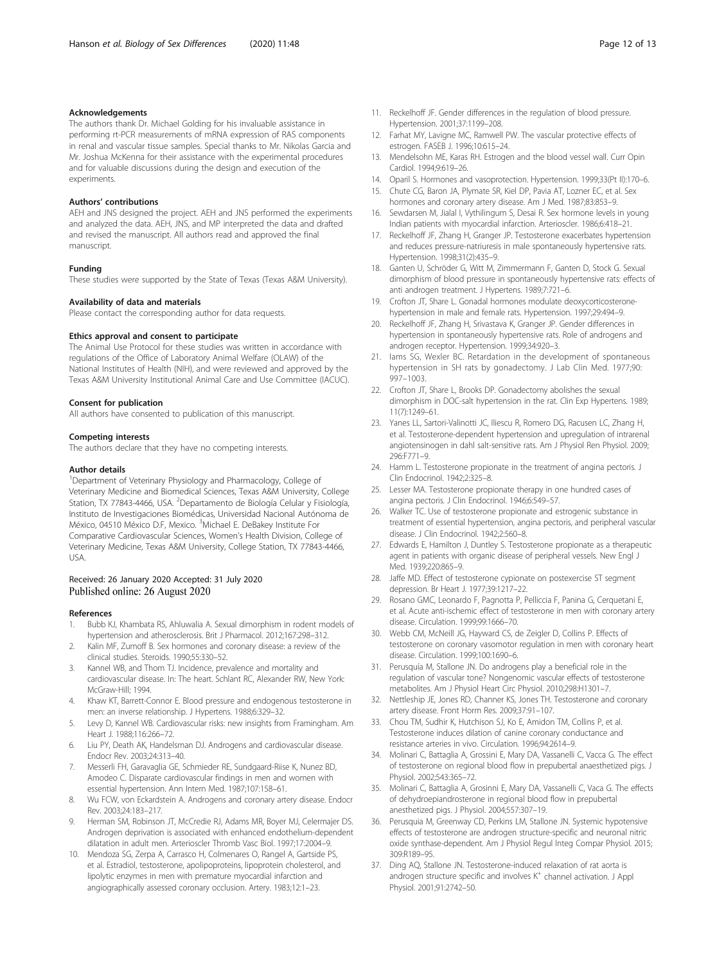## <span id="page-11-0"></span>Acknowledgements

The authors thank Dr. Michael Golding for his invaluable assistance in performing rt-PCR measurements of mRNA expression of RAS components in renal and vascular tissue samples. Special thanks to Mr. Nikolas Garcia and Mr. Joshua McKenna for their assistance with the experimental procedures and for valuable discussions during the design and execution of the experiments.

#### Authors' contributions

AEH and JNS designed the project. AEH and JNS performed the experiments and analyzed the data. AEH, JNS, and MP interpreted the data and drafted and revised the manuscript. All authors read and approved the final manuscript.

#### Funding

These studies were supported by the State of Texas (Texas A&M University).

#### Availability of data and materials

Please contact the corresponding author for data requests.

## Ethics approval and consent to participate

The Animal Use Protocol for these studies was written in accordance with regulations of the Office of Laboratory Animal Welfare (OLAW) of the National Institutes of Health (NIH), and were reviewed and approved by the Texas A&M University Institutional Animal Care and Use Committee (IACUC).

#### Consent for publication

All authors have consented to publication of this manuscript.

## Competing interests

The authors declare that they have no competing interests.

#### Author details

<sup>1</sup>Department of Veterinary Physiology and Pharmacology, College of Veterinary Medicine and Biomedical Sciences, Texas A&M University, College Station, TX 77843-4466, USA. <sup>2</sup>Departamento de Biología Celular y Fisiología, Instituto de Investigaciones Biomédicas, Universidad Nacional Autónoma de México, 04510 México D.F, Mexico. <sup>3</sup>Michael E. DeBakey Institute For Comparative Cardiovascular Sciences, Women's Health Division, College of Veterinary Medicine, Texas A&M University, College Station, TX 77843-4466, USA.

## Received: 26 January 2020 Accepted: 31 July 2020 Published online: 26 August 2020

#### References

- 1. Bubb KJ, Khambata RS, Ahluwalia A. Sexual dimorphism in rodent models of hypertension and atherosclerosis. Brit J Pharmacol. 2012;167:298–312.
- 2. Kalin MF, Zumoff B. Sex hormones and coronary disease: a review of the clinical studies. Steroids. 1990;55:330–52.
- 3. Kannel WB, and Thom TJ. Incidence, prevalence and mortality and cardiovascular disease. In: The heart. Schlant RC, Alexander RW, New York: McGraw-Hill; 1994.
- 4. Khaw KT, Barrett-Connor E. Blood pressure and endogenous testosterone in men: an inverse relationship. J Hypertens. 1988;6:329–32.
- Levy D, Kannel WB. Cardiovascular risks: new insights from Framingham. Am Heart J. 1988;116:266–72.
- 6. Liu PY, Death AK, Handelsman DJ. Androgens and cardiovascular disease. Endocr Rev. 2003;24:313–40.
- 7. Messerli FH, Garavaglia GE, Schmieder RE, Sundgaard-Riise K, Nunez BD, Amodeo C. Disparate cardiovascular findings in men and women with essential hypertension. Ann Intern Med. 1987;107:158–61.
- 8. Wu FCW, von Eckardstein A. Androgens and coronary artery disease. Endocr Rev. 2003;24:183–217.
- 9. Herman SM, Robinson JT, McCredie RJ, Adams MR, Boyer MJ, Celermajer DS. Androgen deprivation is associated with enhanced endothelium-dependent dilatation in adult men. Arterioscler Thromb Vasc Biol. 1997;17:2004–9.
- 10. Mendoza SG, Zerpa A, Carrasco H, Colmenares O, Rangel A, Gartside PS, et al. Estradiol, testosterone, apolipoproteins, lipoprotein cholesterol, and lipolytic enzymes in men with premature myocardial infarction and angiographically assessed coronary occlusion. Artery. 1983;12:1–23.
- 11. Reckelhoff JF. Gender differences in the regulation of blood pressure. Hypertension. 2001;37:1199–208.
- 12. Farhat MY, Lavigne MC, Ramwell PW. The vascular protective effects of estrogen. FASEB J. 1996;10:615–24.
- 13. Mendelsohn ME, Karas RH. Estrogen and the blood vessel wall. Curr Opin Cardiol. 1994;9:619–26.
- 14. Oparil S. Hormones and vasoprotection. Hypertension. 1999;33(Pt II):170–6.
- 15. Chute CG, Baron JA, Plymate SR, Kiel DP, Pavia AT, Lozner EC, et al. Sex hormones and coronary artery disease. Am J Med. 1987;83:853–9.
- 16. Sewdarsen M, Jialal I, Vythilingum S, Desai R. Sex hormone levels in young Indian patients with myocardial infarction. Arterioscler. 1986;6:418–21.
- 17. Reckelhoff JF, Zhang H, Granger JP. Testosterone exacerbates hypertension and reduces pressure-natriuresis in male spontaneously hypertensive rats. Hypertension. 1998;31(2):435–9.
- 18. Ganten U, Schröder G, Witt M, Zimmermann F, Ganten D, Stock G. Sexual dimorphism of blood pressure in spontaneously hypertensive rats: effects of anti androgen treatment. J Hypertens. 1989;7:721–6.
- 19. Crofton JT, Share L. Gonadal hormones modulate deoxycorticosteronehypertension in male and female rats. Hypertension. 1997;29:494–9.
- 20. Reckelhoff JF, Zhang H, Srivastava K, Granger JP. Gender differences in hypertension in spontaneously hypertensive rats. Role of androgens and androgen receptor. Hypertension. 1999;34:920–3.
- 21. Iams SG, Wexler BC. Retardation in the development of spontaneous hypertension in SH rats by gonadectomy. J Lab Clin Med. 1977;90: 997–1003.
- 22. Crofton JT, Share L, Brooks DP. Gonadectomy abolishes the sexual dimorphism in DOC-salt hypertension in the rat. Clin Exp Hypertens. 1989; 11(7):1249–61.
- 23. Yanes LL, Sartori-Valinotti JC, Iliescu R, Romero DG, Racusen LC, Zhang H, et al. Testosterone-dependent hypertension and upregulation of intrarenal angiotensinogen in dahl salt-sensitive rats. Am J Physiol Ren Physiol. 2009; 296:F771–9.
- 24. Hamm L. Testosterone propionate in the treatment of angina pectoris. J Clin Endocrinol. 1942;2:325–8.
- 25. Lesser MA. Testosterone propionate therapy in one hundred cases of angina pectoris. J Clin Endocrinol. 1946;6:549–57.
- 26. Walker TC. Use of testosterone propionate and estrogenic substance in treatment of essential hypertension, angina pectoris, and peripheral vascular disease. J Clin Endocrinol. 1942;2:560–8.
- 27. Edwards E, Hamilton J, Duntley S. Testosterone propionate as a therapeutic agent in patients with organic disease of peripheral vessels. New Engl J Med. 1939;220:865–9.
- 28. Jaffe MD. Effect of testosterone cypionate on postexercise ST segment depression. Br Heart J. 1977;39:1217–22.
- 29. Rosano GMC, Leonardo F, Pagnotta P, Pelliccia F, Panina G, Cerquetani E, et al. Acute anti-ischemic effect of testosterone in men with coronary artery disease. Circulation. 1999;99:1666–70.
- 30. Webb CM, McNeill JG, Hayward CS, de Zeigler D, Collins P. Effects of testosterone on coronary vasomotor regulation in men with coronary heart disease. Circulation. 1999;100:1690–6.
- 31. Perusquía M, Stallone JN. Do androgens play a beneficial role in the regulation of vascular tone? Nongenomic vascular effects of testosterone metabolites. Am J Physiol Heart Circ Physiol. 2010;298:H1301–7.
- 32. Nettleship JE, Jones RD, Channer KS, Jones TH. Testosterone and coronary artery disease. Front Horm Res. 2009;37:91–107.
- 33. Chou TM, Sudhir K, Hutchison SJ, Ko E, Amidon TM, Collins P, et al. Testosterone induces dilation of canine coronary conductance and resistance arteries in vivo. Circulation. 1996;94:2614–9.
- 34. Molinari C, Battaglia A, Grossini E, Mary DA, Vassanelli C, Vacca G. The effect of testosterone on regional blood flow in prepubertal anaesthetized pigs. J Physiol. 2002;543:365–72.
- 35. Molinari C, Battaglia A, Grosinni E, Mary DA, Vassanelli C, Vaca G. The effects of dehydroepiandrosterone in regional blood flow in prepubertal anesthetized pigs. J Physiol. 2004;557:307–19.
- 36. Perusquia M, Greenway CD, Perkins LM, Stallone JN. Systemic hypotensive effects of testosterone are androgen structure-specific and neuronal nitric oxide synthase-dependent. Am J Physiol Regul Integ Compar Physiol. 2015; 309:R189–95.
- 37. Ding AQ, Stallone JN. Testosterone-induced relaxation of rat aorta is androgen structure specific and involves K<sup>+</sup> channel activation. J Appl Physiol. 2001;91:2742–50.